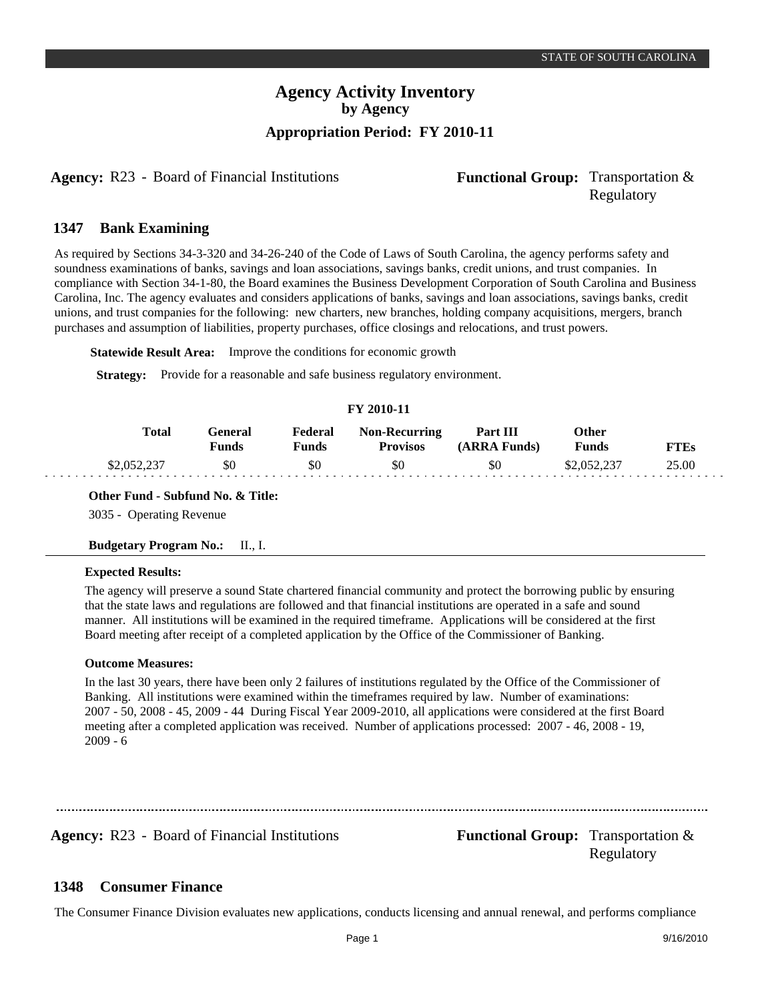### **Agency Activity Inventory by Agency Appropriation Period: FY 2010-11**

**Agency:** R23 - Board of Financial Institutions **Functional Group:** Transportation &

# Regulatory

#### **Bank Examining 1347**

As required by Sections 34-3-320 and 34-26-240 of the Code of Laws of South Carolina, the agency performs safety and soundness examinations of banks, savings and loan associations, savings banks, credit unions, and trust companies. In compliance with Section 34-1-80, the Board examines the Business Development Corporation of South Carolina and Business Carolina, Inc. The agency evaluates and considers applications of banks, savings and loan associations, savings banks, credit unions, and trust companies for the following: new charters, new branches, holding company acquisitions, mergers, branch purchases and assumption of liabilities, property purchases, office closings and relocations, and trust powers.

**Statewide Result Area:** Improve the conditions for economic growth

**Strategy:** Provide for a reasonable and safe business regulatory environment.

### **FY 2010-11**

| Total           | General<br>Funds | Federal<br>Funds | <b>Non-Recurring</b><br><b>Provisos</b> | Part III<br><b>ARRA Funds)</b> | Other<br><b>Funds</b> | <sup>v</sup> TEs |
|-----------------|------------------|------------------|-----------------------------------------|--------------------------------|-----------------------|------------------|
| <u>  የን በ52</u> | \$0              | \$0              | \$0                                     | \$0                            |                       | 25.00            |

**Other Fund - Subfund No. & Title:**

3035 - Operating Revenue

#### **Budgetary Program No.:** II., I.

#### **Expected Results:**

The agency will preserve a sound State chartered financial community and protect the borrowing public by ensuring that the state laws and regulations are followed and that financial institutions are operated in a safe and sound manner. All institutions will be examined in the required timeframe. Applications will be considered at the first Board meeting after receipt of a completed application by the Office of the Commissioner of Banking.

#### **Outcome Measures:**

In the last 30 years, there have been only 2 failures of institutions regulated by the Office of the Commissioner of Banking. All institutions were examined within the timeframes required by law. Number of examinations: 2007 - 50, 2008 - 45, 2009 - 44 During Fiscal Year 2009-2010, all applications were considered at the first Board meeting after a completed application was received. Number of applications processed: 2007 - 46, 2008 - 19, 2009 - 6

**Agency:** R23 - Board of Financial Institutions **Functional Group:** Transportation & Regulatory

#### **Consumer Finance 1348**

The Consumer Finance Division evaluates new applications, conducts licensing and annual renewal, and performs compliance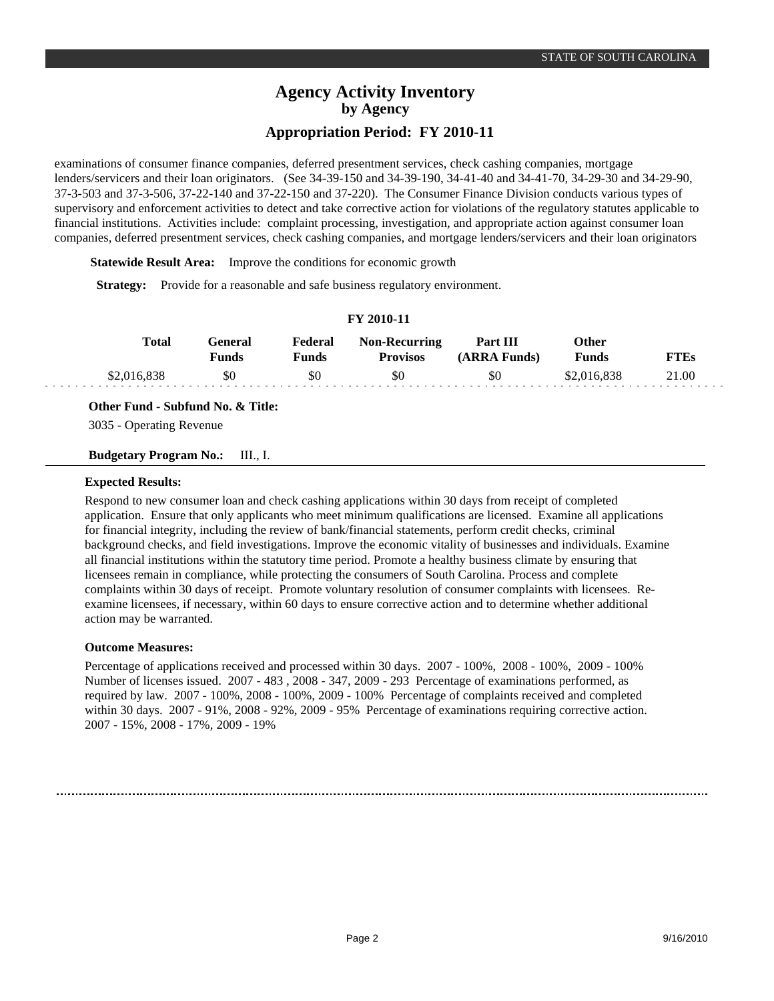### **Agency Activity Inventory by Agency Appropriation Period: FY 2010-11**

examinations of consumer finance companies, deferred presentment services, check cashing companies, mortgage lenders/servicers and their loan originators. (See 34-39-150 and 34-39-190, 34-41-40 and 34-41-70, 34-29-30 and 34-29-90, 37-3-503 and 37-3-506, 37-22-140 and 37-22-150 and 37-220). The Consumer Finance Division conducts various types of supervisory and enforcement activities to detect and take corrective action for violations of the regulatory statutes applicable to financial institutions. Activities include: complaint processing, investigation, and appropriate action against consumer loan companies, deferred presentment services, check cashing companies, and mortgage lenders/servicers and their loan originators

**Statewide Result Area:** Improve the conditions for economic growth

**Strategy:** Provide for a reasonable and safe business regulatory environment.

### **FY 2010-11**

| Total       | General<br>Funds | Federal<br>Funds | <b>Non-Recurring</b><br><b>Provisos</b> | Part III<br>(ARRA Funds) | Other<br>Funds | FTEs  |
|-------------|------------------|------------------|-----------------------------------------|--------------------------|----------------|-------|
| \$2,016,838 | \$0              | \$0              | \$0                                     | \$0                      | \$2,016,838    | 21.00 |

**Other Fund - Subfund No. & Title:**

3035 - Operating Revenue

**Budgetary Program No.:** III., I.

### **Expected Results:**

Respond to new consumer loan and check cashing applications within 30 days from receipt of completed application. Ensure that only applicants who meet minimum qualifications are licensed. Examine all applications for financial integrity, including the review of bank/financial statements, perform credit checks, criminal background checks, and field investigations. Improve the economic vitality of businesses and individuals. Examine all financial institutions within the statutory time period. Promote a healthy business climate by ensuring that licensees remain in compliance, while protecting the consumers of South Carolina. Process and complete complaints within 30 days of receipt. Promote voluntary resolution of consumer complaints with licensees. Reexamine licensees, if necessary, within 60 days to ensure corrective action and to determine whether additional action may be warranted.

### **Outcome Measures:**

Percentage of applications received and processed within 30 days. 2007 - 100%, 2008 - 100%, 2009 - 100% Number of licenses issued. 2007 - 483 , 2008 - 347, 2009 - 293 Percentage of examinations performed, as required by law. 2007 - 100%, 2008 - 100%, 2009 - 100% Percentage of complaints received and completed within 30 days. 2007 - 91%, 2008 - 92%, 2009 - 95% Percentage of examinations requiring corrective action. 2007 - 15%, 2008 - 17%, 2009 - 19%